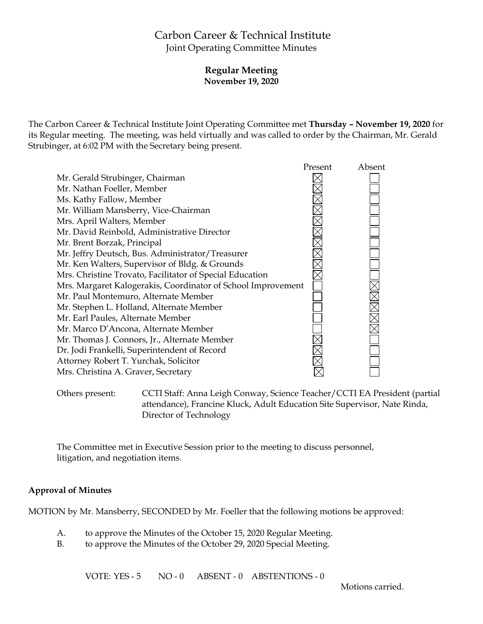# Carbon Career & Technical Institute Joint Operating Committee Minutes

### **Regular Meeting November 19, 2020**

The Carbon Career & Technical Institute Joint Operating Committee met **Thursday – November 19, 2020** for its Regular meeting. The meeting, was held virtually and was called to order by the Chairman, Mr. Gerald Strubinger, at 6:02 PM with the Secretary being present.



Others present: CCTI Staff: Anna Leigh Conway, Science Teacher/CCTI EA President (partial attendance), Francine Kluck, Adult Education Site Supervisor, Nate Rinda, Director of Technology

The Committee met in Executive Session prior to the meeting to discuss personnel, litigation, and negotiation items.

#### **Approval of Minutes**

MOTION by Mr. Mansberry, SECONDED by Mr. Foeller that the following motions be approved:

- A. to approve the Minutes of the October 15, 2020 Regular Meeting.
- B. to approve the Minutes of the October 29, 2020 Special Meeting.

VOTE: YES - 5 NO - 0 ABSENT - 0 ABSTENTIONS - 0

Motions carried.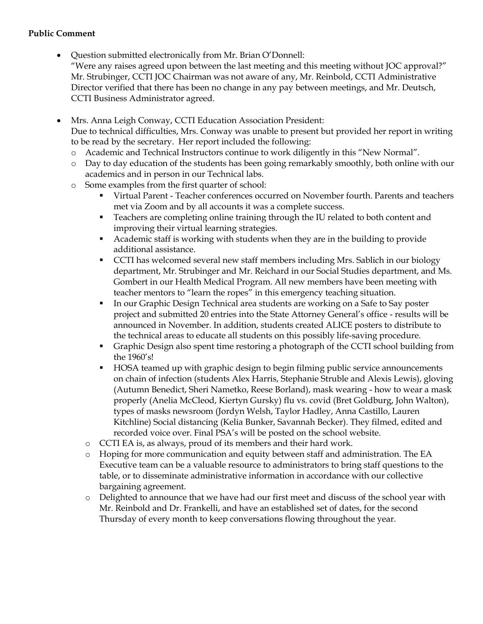### **Public Comment**

- Question submitted electronically from Mr. Brian O'Donnell: "Were any raises agreed upon between the last meeting and this meeting without JOC approval?" Mr. Strubinger, CCTI JOC Chairman was not aware of any, Mr. Reinbold, CCTI Administrative Director verified that there has been no change in any pay between meetings, and Mr. Deutsch, CCTI Business Administrator agreed.
- Mrs. Anna Leigh Conway, CCTI Education Association President: Due to technical difficulties, Mrs. Conway was unable to present but provided her report in writing to be read by the secretary. Her report included the following:
	- o Academic and Technical Instructors continue to work diligently in this "New Normal".
	- o Day to day education of the students has been going remarkably smoothly, both online with our academics and in person in our Technical labs.
	- o Some examples from the first quarter of school:
		- Virtual Parent Teacher conferences occurred on November fourth. Parents and teachers met via Zoom and by all accounts it was a complete success.
		- **Teachers are completing online training through the IU related to both content and** improving their virtual learning strategies.
		- Academic staff is working with students when they are in the building to provide additional assistance.
		- CCTI has welcomed several new staff members including Mrs. Sablich in our biology department, Mr. Strubinger and Mr. Reichard in our Social Studies department, and Ms. Gombert in our Health Medical Program. All new members have been meeting with teacher mentors to "learn the ropes" in this emergency teaching situation.
		- In our Graphic Design Technical area students are working on a Safe to Say poster project and submitted 20 entries into the State Attorney General's office - results will be announced in November. In addition, students created ALICE posters to distribute to the technical areas to educate all students on this possibly life-saving procedure.
		- Graphic Design also spent time restoring a photograph of the CCTI school building from the 1960's!
		- HOSA teamed up with graphic design to begin filming public service announcements on chain of infection (students Alex Harris, Stephanie Struble and Alexis Lewis), gloving (Autumn Benedict, Sheri Nametko, Reese Borland), mask wearing - how to wear a mask properly (Anelia McCleod, Kiertyn Gursky) flu vs. covid (Bret Goldburg, John Walton), types of masks newsroom (Jordyn Welsh, Taylor Hadley, Anna Castillo, Lauren Kitchline) Social distancing (Kelia Bunker, Savannah Becker). They filmed, edited and recorded voice over. Final PSA's will be posted on the school website.
		- o CCTI EA is, as always, proud of its members and their hard work.
		- o Hoping for more communication and equity between staff and administration. The EA Executive team can be a valuable resource to administrators to bring staff questions to the table, or to disseminate administrative information in accordance with our collective bargaining agreement.
		- o Delighted to announce that we have had our first meet and discuss of the school year with Mr. Reinbold and Dr. Frankelli, and have an established set of dates, for the second Thursday of every month to keep conversations flowing throughout the year.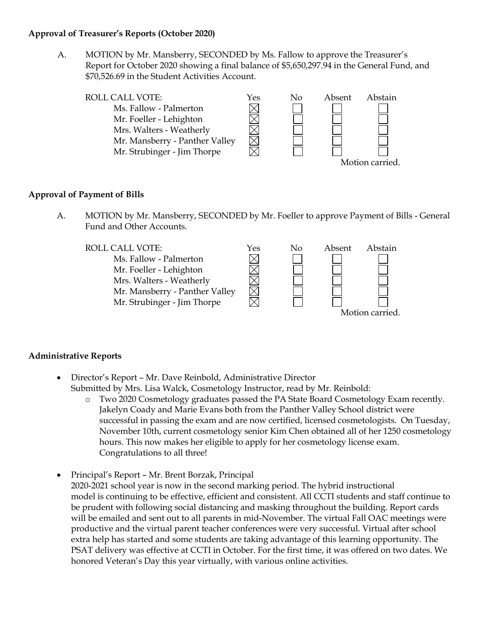#### **Approval of Treasurer's Reports (October 2020)**

A. MOTION by Mr. Mansberry, SECONDED by Ms. Fallow to approve the Treasurer's Report for October 2020 showing a final balance of \$5,650,297.94 in the General Fund, and \$70,526.69 in the Student Activities Account.



### **Approval of Payment of Bills**

A. MOTION by Mr. Mansberry, SECONDED by Mr. Foeller to approve Payment of Bills - General Fund and Other Accounts.



# **Administrative Reports**

- Director's Report Mr. Dave Reinbold, Administrative Director Submitted by Mrs. Lisa Walck, Cosmetology Instructor, read by Mr. Reinbold:
	- o Two 2020 Cosmetology graduates passed the PA State Board Cosmetology Exam recently. Jakelyn Coady and Marie Evans both from the Panther Valley School district were successful in passing the exam and are now certified, licensed cosmetologists. On Tuesday, November 10th, current cosmetology senior Kim Chen obtained all of her 1250 cosmetology hours. This now makes her eligible to apply for her cosmetology license exam. Congratulations to all three!
- Principal's Report Mr. Brent Borzak, Principal 2020-2021 school year is now in the second marking period. The hybrid instructional model is continuing to be effective, efficient and consistent. All CCTI students and staff continue to be prudent with following social distancing and masking throughout the building. Report cards will be emailed and sent out to all parents in mid-November. The virtual Fall OAC meetings were productive and the virtual parent teacher conferences were very successful. Virtual after school extra help has started and some students are taking advantage of this learning opportunity. The PSAT delivery was effective at CCTI in October. For the first time, it was offered on two dates. We honored Veteran's Day this year virtually, with various online activities.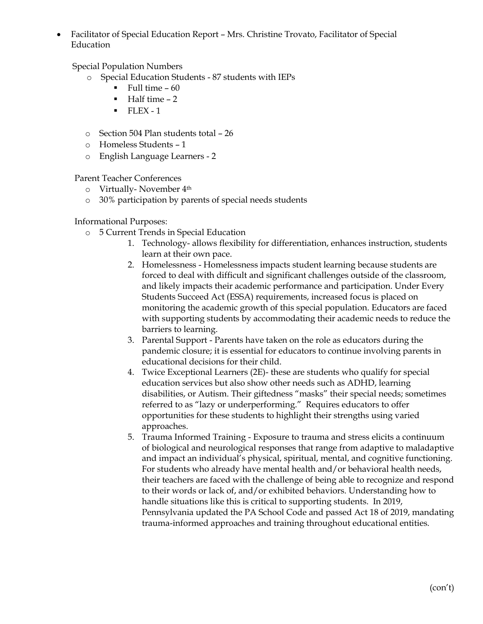Facilitator of Special Education Report – Mrs. Christine Trovato, Facilitator of Special Education

Special Population Numbers

- o Special Education Students 87 students with IEPs
	- $\blacksquare$  Full time 60
	- $-Half$  time  $-2$
	- $\blacksquare$  FLEX 1
- o Section 504 Plan students total 26
- o Homeless Students 1
- o English Language Learners 2

Parent Teacher Conferences

- o Virtually- November 4th
- o 30% participation by parents of special needs students

Informational Purposes:

- o 5 Current Trends in Special Education
	- 1. Technology- allows flexibility for differentiation, enhances instruction, students learn at their own pace.
	- 2. Homelessness Homelessness impacts student learning because students are forced to deal with difficult and significant challenges outside of the classroom, and likely impacts their academic performance and participation. Under Every Students Succeed Act (ESSA) requirements, increased focus is placed on monitoring the academic growth of this special population. Educators are faced with supporting students by accommodating their academic needs to reduce the barriers to learning.
	- 3. Parental Support Parents have taken on the role as educators during the pandemic closure; it is essential for educators to continue involving parents in educational decisions for their child.
	- 4. Twice Exceptional Learners (2E)- these are students who qualify for special education services but also show other needs such as ADHD, learning disabilities, or Autism. Their giftedness "masks" their special needs; sometimes referred to as "lazy or underperforming." Requires educators to offer opportunities for these students to highlight their strengths using varied approaches.
	- 5. Trauma Informed Training Exposure to trauma and stress elicits a continuum of biological and neurological responses that range from adaptive to maladaptive and impact an individual's physical, spiritual, mental, and cognitive functioning. For students who already have mental health and/or behavioral health needs, their teachers are faced with the challenge of being able to recognize and respond to their words or lack of, and/or exhibited behaviors. Understanding how to handle situations like this is critical to supporting students. In 2019, Pennsylvania updated the PA School Code and passed Act 18 of 2019, mandating trauma-informed approaches and training throughout educational entities.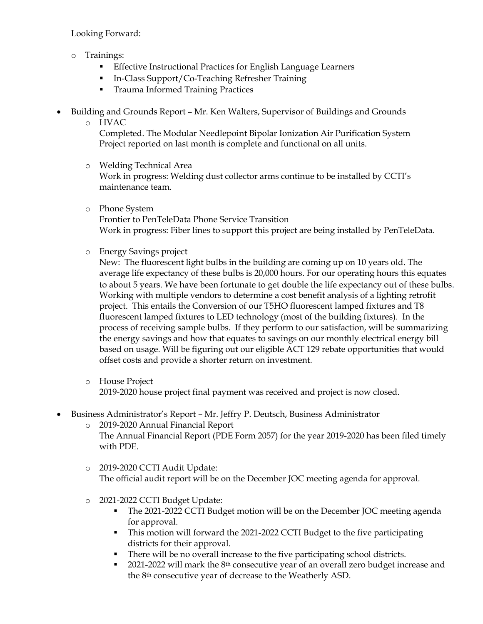Looking Forward:

- o Trainings:
	- **Effective Instructional Practices for English Language Learners**
	- In-Class Support/Co-Teaching Refresher Training
	- **Trauma Informed Training Practices**
- Building and Grounds Report Mr. Ken Walters, Supervisor of Buildings and Grounds
	- o HVAC

Completed. The Modular Needlepoint Bipolar Ionization Air Purification System Project reported on last month is complete and functional on all units.

- o Welding Technical Area Work in progress: Welding dust collector arms continue to be installed by CCTI's maintenance team.
- o Phone System Frontier to PenTeleData Phone Service Transition Work in progress: Fiber lines to support this project are being installed by PenTeleData.
- o Energy Savings project

New: The fluorescent light bulbs in the building are coming up on 10 years old. The average life expectancy of these bulbs is 20,000 hours. For our operating hours this equates to about 5 years. We have been fortunate to get double the life expectancy out of these bulbs. Working with multiple vendors to determine a cost benefit analysis of a lighting retrofit project. This entails the Conversion of our T5HO fluorescent lamped fixtures and T8 fluorescent lamped fixtures to LED technology (most of the building fixtures). In the process of receiving sample bulbs. If they perform to our satisfaction, will be summarizing the energy savings and how that equates to savings on our monthly electrical energy bill based on usage. Will be figuring out our eligible ACT 129 rebate opportunities that would offset costs and provide a shorter return on investment.

- o House Project 2019-2020 house project final payment was received and project is now closed.
- Business Administrator's Report Mr. Jeffry P. Deutsch, Business Administrator
	- o 2019-2020 Annual Financial Report The Annual Financial Report (PDE Form 2057) for the year 2019-2020 has been filed timely with PDE.
	- o 2019-2020 CCTI Audit Update: The official audit report will be on the December JOC meeting agenda for approval.
	- o 2021-2022 CCTI Budget Update:
		- The 2021-2022 CCTI Budget motion will be on the December JOC meeting agenda for approval.
		- This motion will forward the 2021-2022 CCTI Budget to the five participating districts for their approval.
		- There will be no overall increase to the five participating school districts.
		- 2021-2022 will mark the 8th consecutive year of an overall zero budget increase and the 8th consecutive year of decrease to the Weatherly ASD.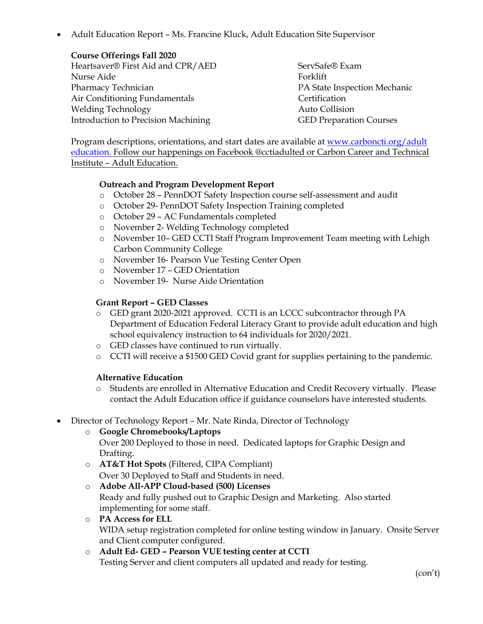Adult Education Report – Ms. Francine Kluck, Adult Education Site Supervisor

#### **Course Offerings Fall 2020**

Heartsaver® First Aid and CPR/AED Nurse Aide Pharmacy Technician Air Conditioning Fundamentals Welding Technology Introduction to Precision Machining

ServSafe® Exam Forklift PA State Inspection Mechanic Certification Auto Collision GED Preparation Courses

Program descriptions, orientations, and start dates are available at [www.carboncti.org/adult](http://www.carboncti.org/adult%0deducation) [education.](http://www.carboncti.org/adult%0deducation) Follow our happenings on Facebook @cctiadulted or Carbon Career and Technical Institute – Adult Education.

### **Outreach and Program Development Report**

- o October 28 PennDOT Safety Inspection course self-assessment and audit
- o October 29- PennDOT Safety Inspection Training completed
- o October 29 AC Fundamentals completed
- o November 2- Welding Technology completed
- o November 10– GED CCTI Staff Program Improvement Team meeting with Lehigh Carbon Community College
- o November 16- Pearson Vue Testing Center Open
- o November 17 GED Orientation
- o November 19- Nurse Aide Orientation

### **Grant Report – GED Classes**

- o GED grant 2020-2021 approved. CCTI is an LCCC subcontractor through PA Department of Education Federal Literacy Grant to provide adult education and high school equivalency instruction to 64 individuals for 2020/2021.
- o GED classes have continued to run virtually.
- o CCTI will receive a \$1500 GED Covid grant for supplies pertaining to the pandemic.

#### **Alternative Education**

- o Students are enrolled in Alternative Education and Credit Recovery virtually. Please contact the Adult Education office if guidance counselors have interested students.
- Director of Technology Report Mr. Nate Rinda, Director of Technology

# o **Google Chromebooks/Laptops**

- Over 200 Deployed to those in need. Dedicated laptops for Graphic Design and Drafting.
- o **AT&T Hot Spots** (Filtered, CIPA Compliant) Over 30 Deployed to Staff and Students in need.
- o **Adobe All-APP Cloud-based (500) Licenses**

Ready and fully pushed out to Graphic Design and Marketing. Also started implementing for some staff.

o **PA Access for ELL**

WIDA setup registration completed for online testing window in January. Onsite Server and Client computer configured.

# o **Adult Ed- GED – Pearson VUE testing center at CCTI**

Testing Server and client computers all updated and ready for testing.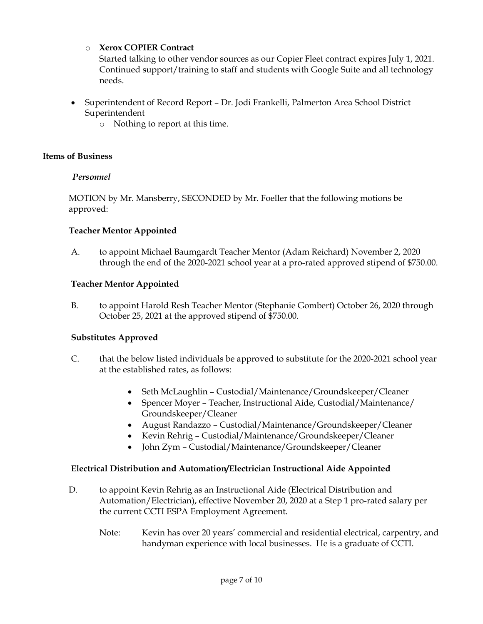# o **Xerox COPIER Contract**

Started talking to other vendor sources as our Copier Fleet contract expires July 1, 2021. Continued support/training to staff and students with Google Suite and all technology needs.

- Superintendent of Record Report Dr. Jodi Frankelli, Palmerton Area School District Superintendent
	- o Nothing to report at this time.

# **Items of Business**

# *Personnel*

MOTION by Mr. Mansberry, SECONDED by Mr. Foeller that the following motions be approved:

# **Teacher Mentor Appointed**

A. to appoint Michael Baumgardt Teacher Mentor (Adam Reichard) November 2, 2020 through the end of the 2020-2021 school year at a pro-rated approved stipend of \$750.00.

# **Teacher Mentor Appointed**

B. to appoint Harold Resh Teacher Mentor (Stephanie Gombert) October 26, 2020 through October 25, 2021 at the approved stipend of \$750.00.

# **Substitutes Approved**

- C. that the below listed individuals be approved to substitute for the 2020-2021 school year at the established rates, as follows:
	- Seth McLaughlin Custodial/Maintenance/Groundskeeper/Cleaner
	- Spencer Moyer Teacher, Instructional Aide, Custodial/Maintenance/ Groundskeeper/Cleaner
	- August Randazzo Custodial/Maintenance/Groundskeeper/Cleaner
	- Kevin Rehrig Custodial/Maintenance/Groundskeeper/Cleaner
	- John Zym Custodial/Maintenance/Groundskeeper/Cleaner

# **Electrical Distribution and Automation/Electrician Instructional Aide Appointed**

- D. to appoint Kevin Rehrig as an Instructional Aide (Electrical Distribution and Automation/Electrician), effective November 20, 2020 at a Step 1 pro-rated salary per the current CCTI ESPA Employment Agreement.
	- Note: Kevin has over 20 years' commercial and residential electrical, carpentry, and handyman experience with local businesses. He is a graduate of CCTI.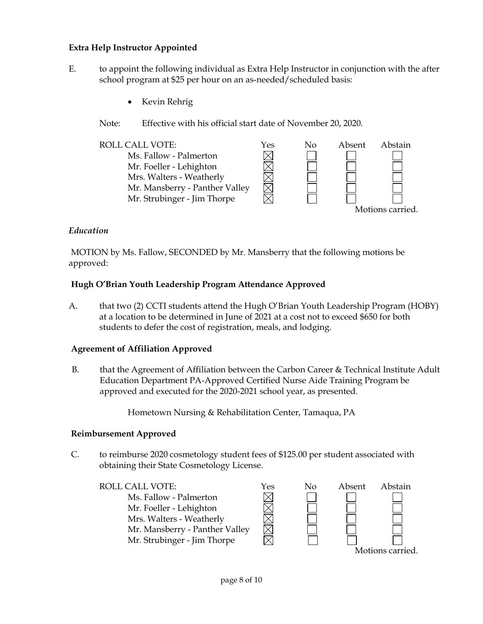### **Extra Help Instructor Appointed**

- E. to appoint the following individual as Extra Help Instructor in conjunction with the after school program at \$25 per hour on an as-needed/scheduled basis:
	- Kevin Rehrig
	- Note: Effective with his official start date of November 20, 2020.



#### *Education*

MOTION by Ms. Fallow, SECONDED by Mr. Mansberry that the following motions be approved:

#### **Hugh O'Brian Youth Leadership Program Attendance Approved**

A. that two (2) CCTI students attend the Hugh O'Brian Youth Leadership Program (HOBY) at a location to be determined in June of 2021 at a cost not to exceed \$650 for both students to defer the cost of registration, meals, and lodging.

#### **Agreement of Affiliation Approved**

B. that the Agreement of Affiliation between the Carbon Career & Technical Institute Adult Education Department PA-Approved Certified Nurse Aide Training Program be approved and executed for the 2020-2021 school year, as presented.

Hometown Nursing & Rehabilitation Center, Tamaqua, PA

#### **Reimbursement Approved**

C. to reimburse 2020 cosmetology student fees of \$125.00 per student associated with obtaining their State Cosmetology License.

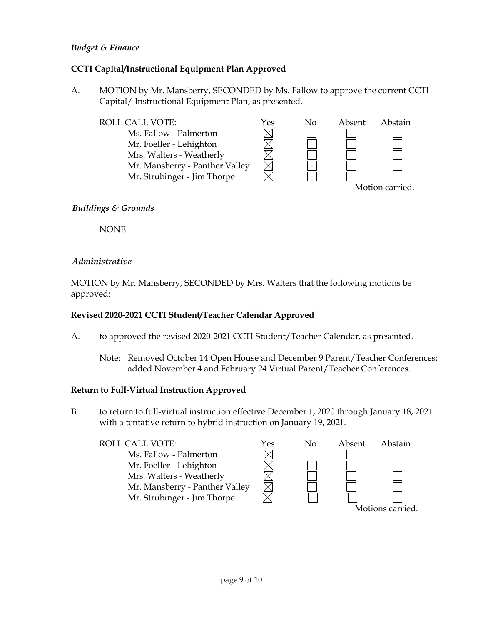### *Budget & Finance*

# **CCTI Capital/Instructional Equipment Plan Approved**

A. MOTION by Mr. Mansberry, SECONDED by Ms. Fallow to approve the current CCTI Capital/ Instructional Equipment Plan, as presented.



### *Buildings & Grounds*

NONE

#### *Administrative*

MOTION by Mr. Mansberry, SECONDED by Mrs. Walters that the following motions be approved:

### **Revised 2020-2021 CCTI Student/Teacher Calendar Approved**

- A. to approved the revised 2020-2021 CCTI Student/Teacher Calendar, as presented.
	- Note: Removed October 14 Open House and December 9 Parent/Teacher Conferences; added November 4 and February 24 Virtual Parent/Teacher Conferences.

#### **Return to Full-Virtual Instruction Approved**

B. to return to full-virtual instruction effective December 1, 2020 through January 18, 2021 with a tentative return to hybrid instruction on January 19, 2021.

### ROLL CALL VOTE:<br>
Ms. Fallow - Palmerton<br>
Mr. Foeller - Lehighton<br>
Mrs. Walters - Weatherly<br>
Mrs. Walters - Weatherly Ms. Fallow - Palmerton Mr. Foeller - Lehighton Mrs. Walters - Weatherly Mr. Mansberry - Panther Valley Mr. Strubinger - Jim Thorpe Motions carried.